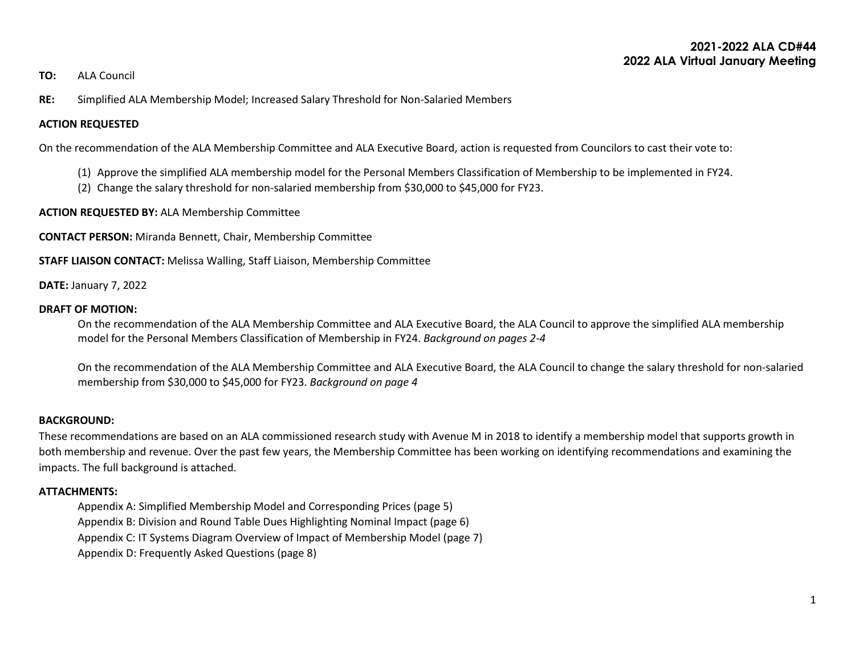### **2021-2022 ALA CD#44 2022 ALA Virtual January Meeting**

#### **TO:** ALA Council

**RE:** Simplified ALA Membership Model; Increased Salary Threshold for Non-Salaried Members

#### **ACTION REQUESTED**

On the recommendation of the ALA Membership Committee and ALA Executive Board, action is requested from Councilors to cast their vote to:

- (1) Approve the simplified ALA membership model for the Personal Members Classification of Membership to be implemented in FY24.
- (2) Change the salary threshold for non-salaried membership from \$30,000 to \$45,000 for FY23.

**ACTION REQUESTED BY:** ALA Membership Committee

**CONTACT PERSON:** Miranda Bennett, Chair, Membership Committee

**STAFF LIAISON CONTACT:** Melissa Walling, Staff Liaison, Membership Committee

**DATE:** January 7, 2022

#### **DRAFT OF MOTION:**

On the recommendation of the ALA Membership Committee and ALA Executive Board, the ALA Council to approve the simplified ALA membership model for the Personal Members Classification of Membership in FY24. *Background on pages 2-4*

On the recommendation of the ALA Membership Committee and ALA Executive Board, the ALA Council to change the salary threshold for non-salaried membership from \$30,000 to \$45,000 for FY23. *Background on page 4*

#### **BACKGROUND:**

These recommendations are based on an ALA commissioned research study with Avenue M in 2018 to identify a membership model that supports growth in both membership and revenue. Over the past few years, the Membership Committee has been working on identifying recommendations and examining the impacts. The full background is attached.

#### **ATTACHMENTS:**

Appendix A: Simplified Membership Model and Corresponding Prices (page 5)

Appendix B: Division and Round Table Dues Highlighting Nominal Impact (page 6)

Appendix C: IT Systems Diagram Overview of Impact of Membership Model (page 7)

Appendix D: Frequently Asked Questions (page 8)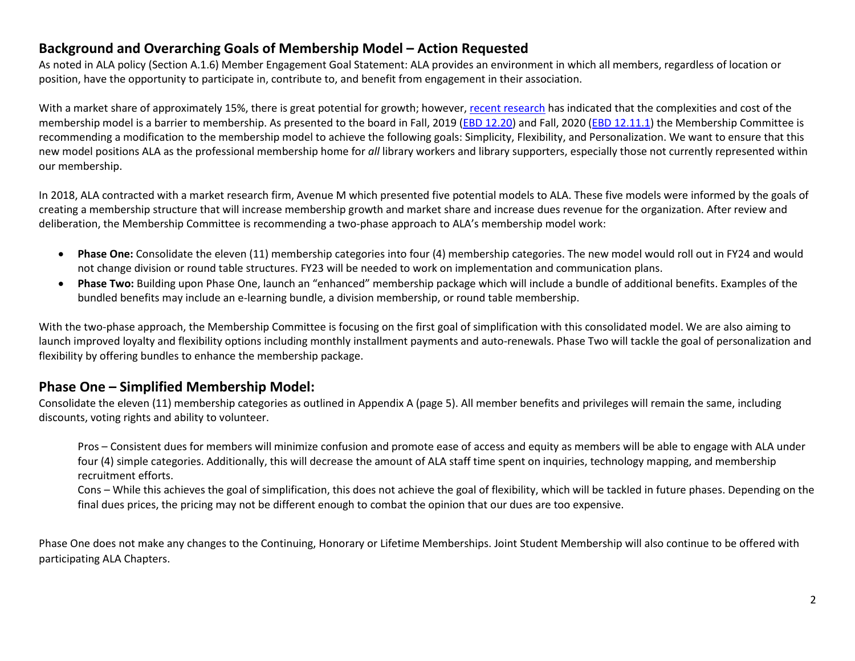# **Background and Overarching Goals of Membership Model – Action Requested**

As noted in ALA policy (Section A.1.6) Member Engagement Goal Statement: ALA provides an environment in which all members, regardless of location or position, have the opportunity to participate in, contribute to, and benefit from engagement in their association.

With a market share of approximately 15%, there is great potential for growth; however, [recent research](https://www.ala.org/aboutala/sites/ala.org.aboutala/files/content/governance/officers/eb_documents/2017_2018ebdocuments/ebd12.22_Communications%20and%20Membership%20Studies.pdf) has indicated that the complexities and cost of the membership model is a barrier to membership. As presented to the board in Fall, 2019 [\(EBD 12.20\)](https://www.ala.org/aboutala/sites/ala.org.aboutala/files/content/governance/ExecutiveBoard/20192020Docs/ebd%2012.20%20Fall%202019%20Board%20Membership%20Presentation.pdf) and Fall, 2020 [\(EBD 12.11.1\)](https://www.ala.org/aboutala/sites/ala.org.aboutala/files/content/governance/ExecutiveBoard/20202021Docs/ebd%2012.11.1%20Membership%20Report%20-%20update.docx) the Membership Committee is recommending a modification to the membership model to achieve the following goals: Simplicity, Flexibility, and Personalization. We want to ensure that this new model positions ALA as the professional membership home for *all* library workers and library supporters, especially those not currently represented within our membership.

In 2018, ALA contracted with a market research firm, Avenue M which presented five potential models to ALA. These five models were informed by the goals of creating a membership structure that will increase membership growth and market share and increase dues revenue for the organization. After review and deliberation, the Membership Committee is recommending a two-phase approach to ALA's membership model work:

- **Phase One:** Consolidate the eleven (11) membership categories into four (4) membership categories. The new model would roll out in FY24 and would not change division or round table structures. FY23 will be needed to work on implementation and communication plans.
- **Phase Two:** Building upon Phase One, launch an "enhanced" membership package which will include a bundle of additional benefits. Examples of the bundled benefits may include an e-learning bundle, a division membership, or round table membership.

With the two-phase approach, the Membership Committee is focusing on the first goal of simplification with this consolidated model. We are also aiming to launch improved loyalty and flexibility options including monthly installment payments and auto-renewals. Phase Two will tackle the goal of personalization and flexibility by offering bundles to enhance the membership package.

# **Phase One – Simplified Membership Model:**

Consolidate the eleven (11) membership categories as outlined in Appendix A (page 5). All member benefits and privileges will remain the same, including discounts, voting rights and ability to volunteer.

Pros – Consistent dues for members will minimize confusion and promote ease of access and equity as members will be able to engage with ALA under four (4) simple categories. Additionally, this will decrease the amount of ALA staff time spent on inquiries, technology mapping, and membership recruitment efforts.

Cons – While this achieves the goal of simplification, this does not achieve the goal of flexibility, which will be tackled in future phases. Depending on the final dues prices, the pricing may not be different enough to combat the opinion that our dues are too expensive.

Phase One does not make any changes to the Continuing, Honorary or Lifetime Memberships. Joint Student Membership will also continue to be offered with participating ALA Chapters.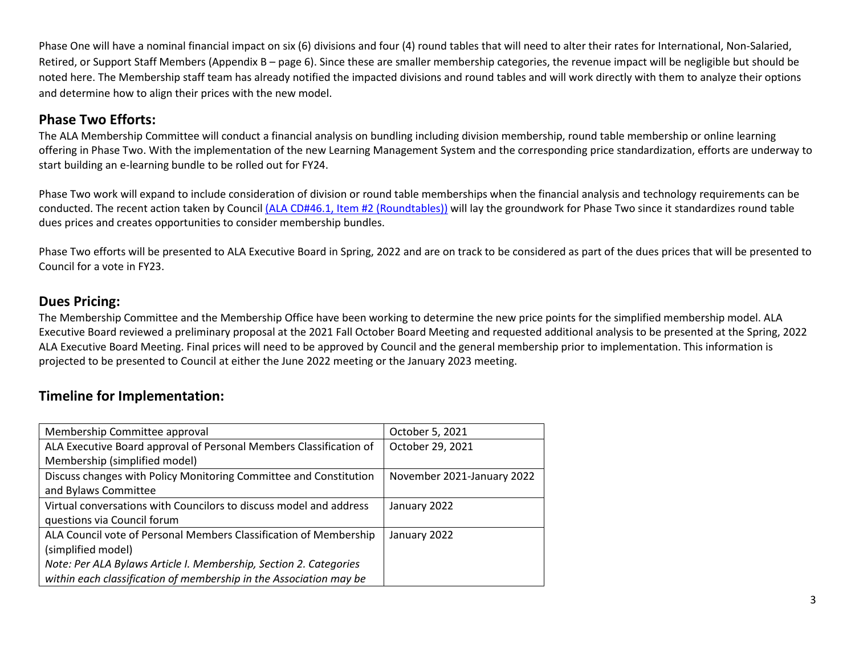Phase One will have a nominal financial impact on six (6) divisions and four (4) round tables that will need to alter their rates for International, Non-Salaried, Retired, or Support Staff Members (Appendix B – page 6). Since these are smaller membership categories, the revenue impact will be negligible but should be noted here. The Membership staff team has already notified the impacted divisions and round tables and will work directly with them to analyze their options and determine how to align their prices with the new model.

# **Phase Two Efforts:**

The ALA Membership Committee will conduct a financial analysis on bundling including division membership, round table membership or online learning offering in Phase Two. With the implementation of the new Learning Management System and the corresponding price standardization, efforts are underway to start building an e-learning bundle to be rolled out for FY24.

Phase Two work will expand to include consideration of division or round table memberships when the financial analysis and technology requirements can be conducted. The recent action taken by Counci[l \(ALA CD#46.1, Item #2 \(Roundtables\)\)](https://www.ala.org/aboutala/sites/ala.org.aboutala/files/content/2021%20Virtual%20Annual%20Council%20Actions.pdf) will lay the groundwork for Phase Two since it standardizes round table dues prices and creates opportunities to consider membership bundles.

Phase Two efforts will be presented to ALA Executive Board in Spring, 2022 and are on track to be considered as part of the dues prices that will be presented to Council for a vote in FY23.

## **Dues Pricing:**

The Membership Committee and the Membership Office have been working to determine the new price points for the simplified membership model. ALA Executive Board reviewed a preliminary proposal at the 2021 Fall October Board Meeting and requested additional analysis to be presented at the Spring, 2022 ALA Executive Board Meeting. Final prices will need to be approved by Council and the general membership prior to implementation. This information is projected to be presented to Council at either the June 2022 meeting or the January 2023 meeting.

# **Timeline for Implementation:**

| Membership Committee approval                                      | October 5, 2021            |  |  |  |  |  |  |
|--------------------------------------------------------------------|----------------------------|--|--|--|--|--|--|
| ALA Executive Board approval of Personal Members Classification of | October 29, 2021           |  |  |  |  |  |  |
| Membership (simplified model)                                      |                            |  |  |  |  |  |  |
| Discuss changes with Policy Monitoring Committee and Constitution  | November 2021-January 2022 |  |  |  |  |  |  |
| and Bylaws Committee                                               |                            |  |  |  |  |  |  |
| Virtual conversations with Councilors to discuss model and address | January 2022               |  |  |  |  |  |  |
| questions via Council forum                                        |                            |  |  |  |  |  |  |
| ALA Council vote of Personal Members Classification of Membership  | January 2022               |  |  |  |  |  |  |
| (simplified model)                                                 |                            |  |  |  |  |  |  |
| Note: Per ALA Bylaws Article I. Membership, Section 2. Categories  |                            |  |  |  |  |  |  |
| within each classification of membership in the Association may be |                            |  |  |  |  |  |  |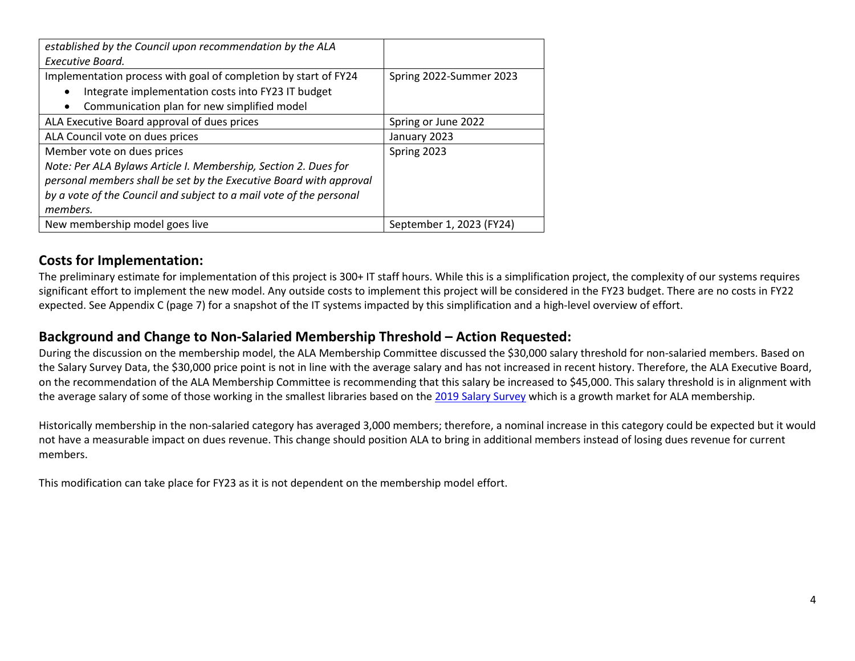| established by the Council upon recommendation by the ALA           |                                                    |  |  |  |  |  |  |  |
|---------------------------------------------------------------------|----------------------------------------------------|--|--|--|--|--|--|--|
| Executive Board.                                                    |                                                    |  |  |  |  |  |  |  |
| Implementation process with goal of completion by start of FY24     | Spring 2022-Summer 2023                            |  |  |  |  |  |  |  |
| Integrate implementation costs into FY23 IT budget                  |                                                    |  |  |  |  |  |  |  |
| Communication plan for new simplified model                         |                                                    |  |  |  |  |  |  |  |
| ALA Executive Board approval of dues prices                         | Spring or June 2022<br>January 2023<br>Spring 2023 |  |  |  |  |  |  |  |
| ALA Council vote on dues prices                                     |                                                    |  |  |  |  |  |  |  |
| Member vote on dues prices                                          |                                                    |  |  |  |  |  |  |  |
| Note: Per ALA Bylaws Article I. Membership, Section 2. Dues for     |                                                    |  |  |  |  |  |  |  |
| personal members shall be set by the Executive Board with approval  |                                                    |  |  |  |  |  |  |  |
| by a vote of the Council and subject to a mail vote of the personal |                                                    |  |  |  |  |  |  |  |
| members.                                                            |                                                    |  |  |  |  |  |  |  |
| New membership model goes live                                      | September 1, 2023 (FY24)                           |  |  |  |  |  |  |  |

## **Costs for Implementation:**

The preliminary estimate for implementation of this project is 300+ IT staff hours. While this is a simplification project, the complexity of our systems requires significant effort to implement the new model. Any outside costs to implement this project will be considered in the FY23 budget. There are no costs in FY22 expected. See Appendix C (page 7) for a snapshot of the IT systems impacted by this simplification and a high-level overview of effort.

# **Background and Change to Non-Salaried Membership Threshold – Action Requested:**

During the discussion on the membership model, the ALA Membership Committee discussed the \$30,000 salary threshold for non-salaried members. Based on the Salary Survey Data, the \$30,000 price point is not in line with the average salary and has not increased in recent history. Therefore, the ALA Executive Board, on the recommendation of the ALA Membership Committee is recommending that this salary be increased to \$45,000. This salary threshold is in alignment with the average salary of some of those working in the smallest libraries based on the [2019 Salary Survey](https://ala-apa.org/files/2020/09/Executive-Summary-Narrative.pdf) which is a growth market for ALA membership.

Historically membership in the non-salaried category has averaged 3,000 members; therefore, a nominal increase in this category could be expected but it would not have a measurable impact on dues revenue. This change should position ALA to bring in additional members instead of losing dues revenue for current members.

This modification can take place for FY23 as it is not dependent on the membership model effort.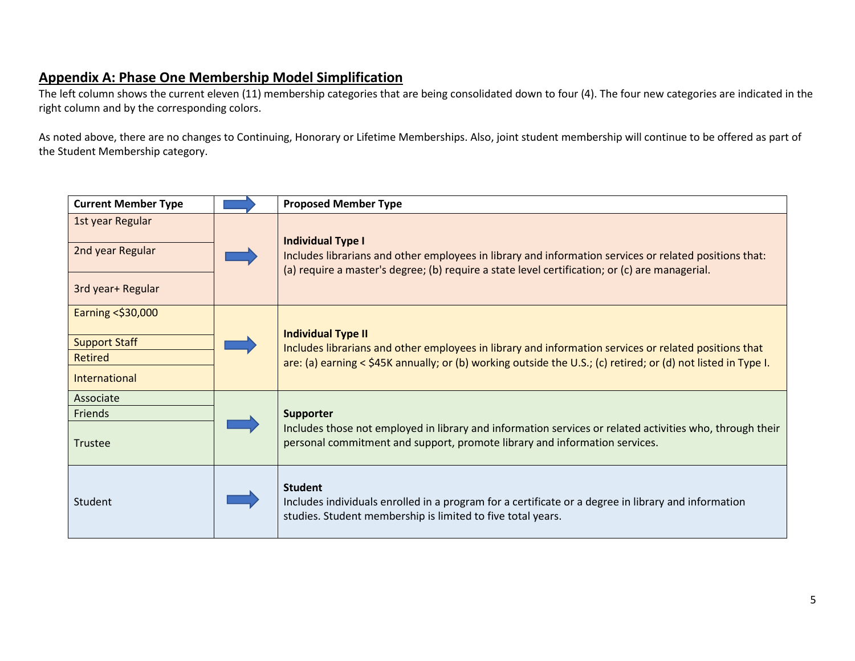# **Appendix A: Phase One Membership Model Simplification**

The left column shows the current eleven (11) membership categories that are being consolidated down to four (4). The four new categories are indicated in the right column and by the corresponding colors.

As noted above, there are no changes to Continuing, Honorary or Lifetime Memberships. Also, joint student membership will continue to be offered as part of the Student Membership category.

| <b>Current Member Type</b>                                             | <b>Proposed Member Type</b>                                                                                                                                                                                                                         |
|------------------------------------------------------------------------|-----------------------------------------------------------------------------------------------------------------------------------------------------------------------------------------------------------------------------------------------------|
| 1st year Regular<br>2nd year Regular<br>3rd year+ Regular              | <b>Individual Type I</b><br>Includes librarians and other employees in library and information services or related positions that:<br>(a) require a master's degree; (b) require a state level certification; or (c) are managerial.                |
| Earning < \$30,000<br><b>Support Staff</b><br>Retired<br>International | <b>Individual Type II</b><br>Includes librarians and other employees in library and information services or related positions that<br>are: (a) earning < \$45K annually; or (b) working outside the U.S.; (c) retired; or (d) not listed in Type I. |
| Associate<br>Friends<br>Trustee                                        | Supporter<br>Includes those not employed in library and information services or related activities who, through their<br>personal commitment and support, promote library and information services.                                                 |
| Student                                                                | <b>Student</b><br>Includes individuals enrolled in a program for a certificate or a degree in library and information<br>studies. Student membership is limited to five total years.                                                                |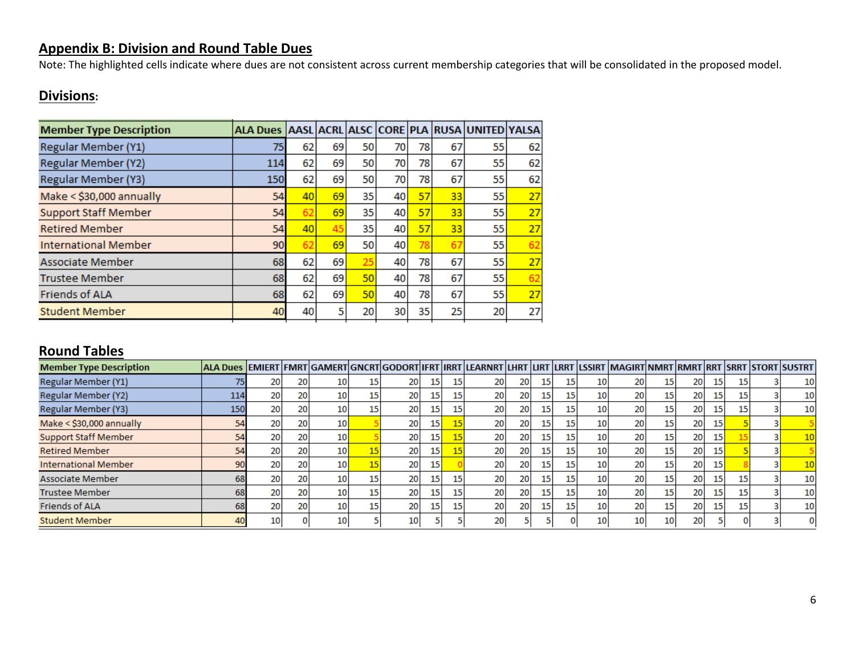# **Appendix B: Division and Round Table Dues**

Note: The highlighted cells indicate where dues are not consistent across current membership categories that will be consolidated in the proposed model.

# **Divisions:**

| <b>Member Type Description</b> | ALA Dues AASL ACRL ALSC CORE PLA RUSA UNITED YALSA |    |    |    |      |    |    |    |    |
|--------------------------------|----------------------------------------------------|----|----|----|------|----|----|----|----|
| <b>Regular Member (Y1)</b>     | 75                                                 | 62 | 69 | 50 | 70   | 78 | 67 | 55 | 62 |
| Regular Member (Y2)            | 114                                                | 62 | 69 | 50 | 70   | 78 | 67 | 55 | 62 |
| Regular Member (Y3)            | 150                                                | 62 | 69 | 50 | 70   | 78 | 67 | 55 | 62 |
| Make < \$30,000 annually       | 54                                                 | 40 | 69 | 35 | 40   | 57 | 33 | 55 | 27 |
| <b>Support Staff Member</b>    | 54                                                 | 62 | 69 | 35 | 40   | 57 | 33 | 55 | 27 |
| <b>Retired Member</b>          | 54                                                 | 40 | 45 | 35 | 40   | 57 | 33 | 55 | 27 |
| <b>International Member</b>    | 90                                                 | 62 | 69 | 50 | 40   | 78 | 67 | 55 | 62 |
| Associate Member               | 68                                                 | 62 | 69 | 25 | 40   | 78 | 67 | 55 | 27 |
| <b>Trustee Member</b>          | 68                                                 | 62 | 69 | 50 | 40 I | 78 | 67 | 55 | 62 |
| <b>Friends of ALA</b>          | 68                                                 | 62 | 69 | 50 | 40 I | 78 | 67 | 55 | 27 |
| <b>Student Member</b>          | 40                                                 | 40 | 5  | 20 | 30   | 35 | 25 | 20 | 27 |

### **Round Tables**

| <b>Member Type Description</b> | ALA Dues  EMIERT FMRT GAMERT GNCRT GODORT IFRT IRRT LEARNRT LHRT LIRT LRRT LSSIRT MAGIRT NMRT RMRT RRT SRRT  STORT SUSTRT |    |    |                 |    |                 |    |    |    |            |                 |                 |                 |    |           |    |    |                 |
|--------------------------------|---------------------------------------------------------------------------------------------------------------------------|----|----|-----------------|----|-----------------|----|----|----|------------|-----------------|-----------------|-----------------|----|-----------|----|----|-----------------|
| Regular Member (Y1)            |                                                                                                                           | 20 | 20 | 10I             |    | 20              |    | 15 | 20 | <b>201</b> | 15              | 10              |                 |    | 20        | 15 |    | 10              |
| Regular Member (Y2)            | 114                                                                                                                       | 20 | 20 | 10 I            | 15 | 20 <sup>1</sup> |    | 15 | 20 | <b>201</b> | 15              | 10              | 20              | 15 | 20        | 15 | 15 | 10              |
| Regular Member (Y3)            | 150                                                                                                                       | 20 | 20 | 10              |    | 20              |    | 15 | 20 | <b>20</b>  | 15              | 10              | 20              | 15 | 20        | 15 | 15 | 10              |
| Make < \$30,000 annually       |                                                                                                                           | 20 | 20 |                 |    | 20              | 15 | 15 | 20 | <b>201</b> |                 | 10              | 20              |    | 20        | 15 |    |                 |
| <b>Support Staff Member</b>    |                                                                                                                           | 20 | 20 |                 |    | 20              | 15 | 15 | 20 | <b>201</b> | 15              | 10              | 20              |    | 20        | 15 |    | 10              |
| <b>Retired Member</b>          |                                                                                                                           | 20 | 20 | 10              |    | 20              | 15 |    | 20 | 20         | 15 <sub>1</sub> | 10              | 20              |    | 20        | 15 |    |                 |
| <b>International Member</b>    | 90                                                                                                                        | 20 | 20 | 10 <sub>1</sub> | IJ | 20 <sup>1</sup> | 15 |    | 20 | <b>20</b>  | 15              | 10 <sub>1</sub> | 20 <sub>1</sub> | 15 | 20        | 15 |    | 10 <sub>1</sub> |
| <b>Associate Member</b>        | 68                                                                                                                        | 20 | 20 | 10              |    | 20              |    | 15 | 20 | 20         | 15              | 10              | 20              |    | <b>20</b> | 15 | 15 | 10              |
| <b>Trustee Member</b>          | 68                                                                                                                        | 20 | 20 | 10 <sup>1</sup> |    | 20              |    | 15 | 20 | 20         | 15 <sub>1</sub> | 10              | 20              |    | <b>20</b> | 15 | 15 | 10              |
| <b>Friends of ALA</b>          | 68                                                                                                                        | 20 | 20 | 10I             |    | 20              |    | 15 | 20 | <b>20</b>  | 15 <sub>1</sub> | 10 <sub>1</sub> | 20 <sub>1</sub> |    | 20        | 15 | 15 | 10              |
| <b>Student Member</b>          |                                                                                                                           | 10 |    | 10              |    | 10              |    |    | 20 |            |                 | 10              | 10              | 10 | 20        |    |    |                 |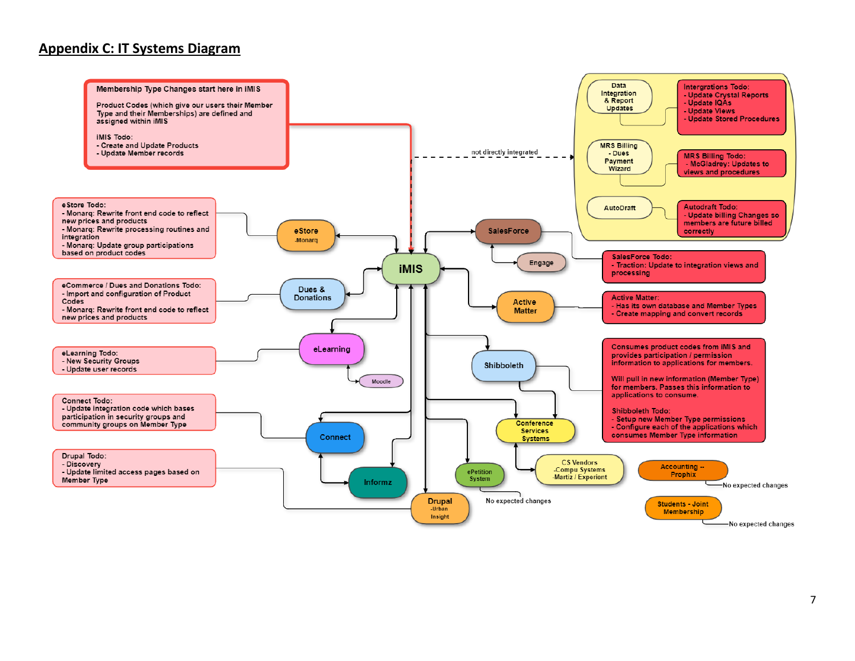### **Appendix C: IT Systems Diagram**